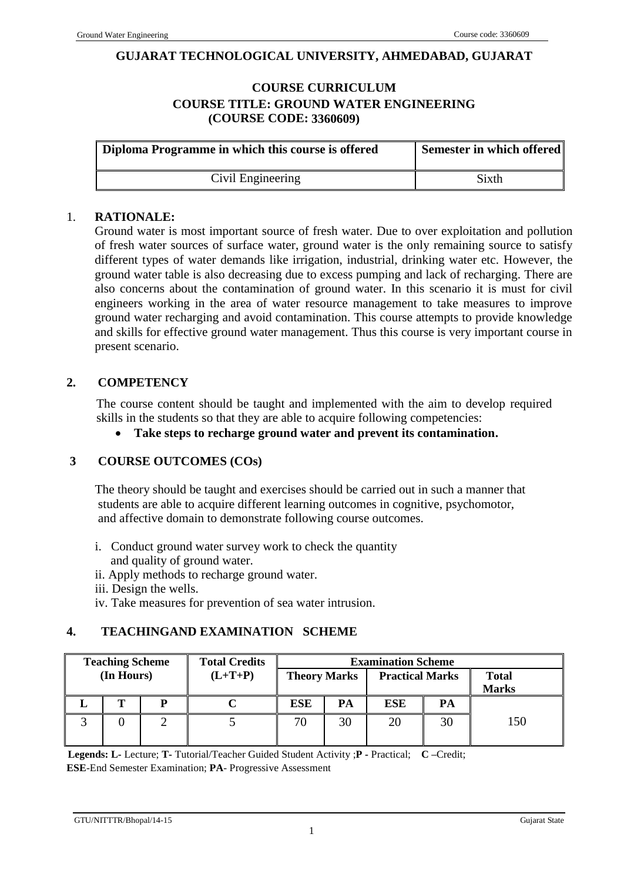#### **GUJARAT TECHNOLOGICAL UNIVERSITY, AHMEDABAD, GUJARAT**

### **COURSE CURRICULUM COURSE TITLE: GROUND WATER ENGINEERING (COURSE CODE: 3360609)**

| Diploma Programme in which this course is offered | Semester in which offered |
|---------------------------------------------------|---------------------------|
| Civil Engineering                                 | <b>Sixth</b>              |

#### 1. **RATIONALE:**

Ground water is most important source of fresh water. Due to over exploitation and pollution of fresh water sources of surface water, ground water is the only remaining source to satisfy different types of water demands like irrigation, industrial, drinking water etc. However, the ground water table is also decreasing due to excess pumping and lack of recharging. There are also concerns about the contamination of ground water. In this scenario it is must for civil engineers working in the area of water resource management to take measures to improve ground water recharging and avoid contamination. This course attempts to provide knowledge and skills for effective ground water management. Thus this course is very important course in present scenario.

#### **2. COMPETENCY**

The course content should be taught and implemented with the aim to develop required skills in the students so that they are able to acquire following competencies:

**Take steps to recharge ground water and prevent its contamination.**

### **3 COURSE OUTCOMES (COs)**

The theory should be taught and exercises should be carried out in such a manner that students are able to acquire different learning outcomes in cognitive, psychomotor, and affective domain to demonstrate following course outcomes.

- i. Conduct ground water survey work to check the quantity and quality of ground water.
- ii. Apply methods to recharge ground water.
- iii. Design the wells.
- iv. Take measures for prevention of sea water intrusion.

### **4. TEACHINGAND EXAMINATION SCHEME**

| <b>Teaching Scheme</b><br><b>Total Credits</b> |            |  | <b>Examination Scheme</b> |                     |    |                        |    |                              |
|------------------------------------------------|------------|--|---------------------------|---------------------|----|------------------------|----|------------------------------|
|                                                | (In Hours) |  | $(L+T+P)$                 | <b>Theory Marks</b> |    | <b>Practical Marks</b> |    | <b>Total</b><br><b>Marks</b> |
|                                                |            |  |                           | <b>ESE</b>          | PA | <b>ESE</b>             | PА |                              |
|                                                |            |  |                           | 70                  | 30 |                        | 30 | 150                          |

 **Legends: L-** Lecture; **T-** Tutorial/Teacher Guided Student Activity ;**P -** Practical; **C –**Credit; **ESE**-End Semester Examination; **PA**- Progressive Assessment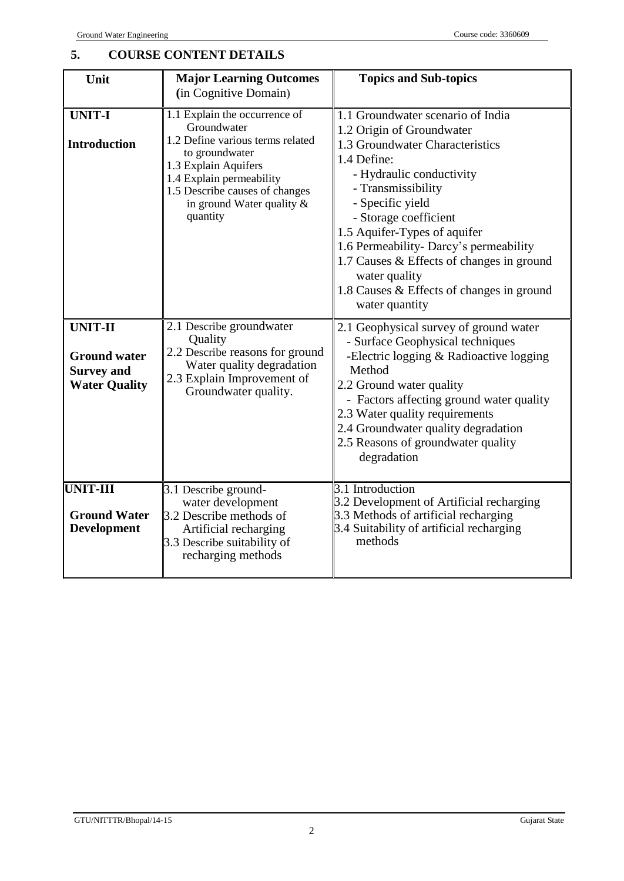# **5. COURSE CONTENT DETAILS**

| Unit                                                                               | <b>Major Learning Outcomes</b><br>(in Cognitive Domain)                                                                                                                                                                              | <b>Topics and Sub-topics</b>                                                                                                                                                                                                                                                                                                                                                                                           |
|------------------------------------------------------------------------------------|--------------------------------------------------------------------------------------------------------------------------------------------------------------------------------------------------------------------------------------|------------------------------------------------------------------------------------------------------------------------------------------------------------------------------------------------------------------------------------------------------------------------------------------------------------------------------------------------------------------------------------------------------------------------|
| <b>UNIT-I</b><br><b>Introduction</b>                                               | 1.1 Explain the occurrence of<br>Groundwater<br>1.2 Define various terms related<br>to groundwater<br>1.3 Explain Aquifers<br>1.4 Explain permeability<br>1.5 Describe causes of changes<br>in ground Water quality $\&$<br>quantity | 1.1 Groundwater scenario of India<br>1.2 Origin of Groundwater<br>1.3 Groundwater Characteristics<br>1.4 Define:<br>- Hydraulic conductivity<br>- Transmissibility<br>- Specific yield<br>- Storage coefficient<br>1.5 Aquifer-Types of aquifer<br>1.6 Permeability- Darcy's permeability<br>1.7 Causes & Effects of changes in ground<br>water quality<br>1.8 Causes & Effects of changes in ground<br>water quantity |
| <b>UNIT-II</b><br><b>Ground water</b><br><b>Survey and</b><br><b>Water Quality</b> | 2.1 Describe groundwater<br>Quality<br>2.2 Describe reasons for ground<br>Water quality degradation<br>2.3 Explain Improvement of<br>Groundwater quality.                                                                            | 2.1 Geophysical survey of ground water<br>- Surface Geophysical techniques<br>-Electric logging & Radioactive logging<br>Method<br>2.2 Ground water quality<br>- Factors affecting ground water quality<br>2.3 Water quality requirements<br>2.4 Groundwater quality degradation<br>2.5 Reasons of groundwater quality<br>degradation                                                                                  |
| <b>UNIT-III</b><br><b>Ground Water</b><br><b>Development</b>                       | 3.1 Describe ground-<br>water development<br>3.2 Describe methods of<br>Artificial recharging<br>3.3 Describe suitability of<br>recharging methods                                                                                   | $3.1$ Introduction<br>3.2 Development of Artificial recharging<br>3.3 Methods of artificial recharging<br>3.4 Suitability of artificial recharging<br>methods                                                                                                                                                                                                                                                          |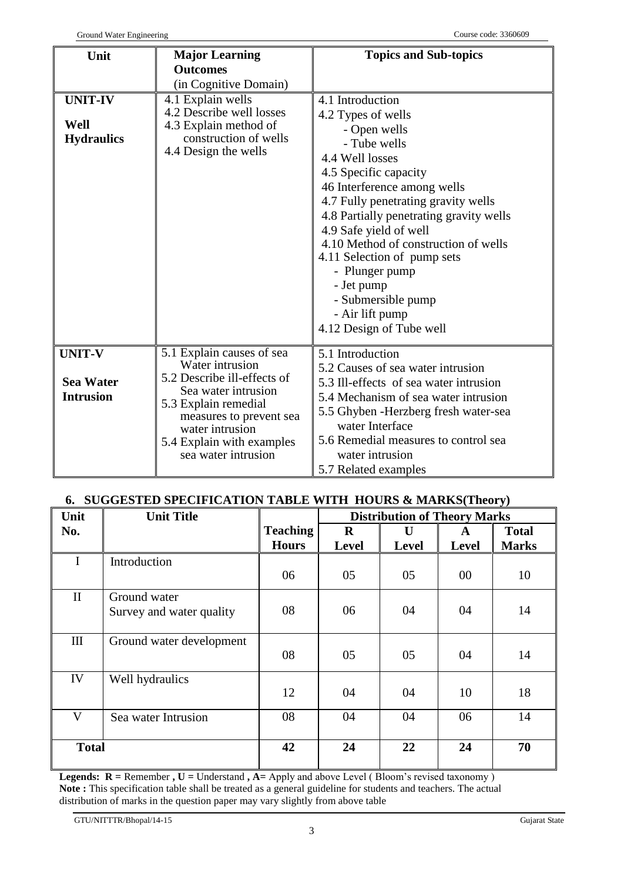| Unit                                                  | <b>Major Learning</b>                                                                                                                                                                                                        | <b>Topics and Sub-topics</b>                                                                                                                                                                                                                                                                                                                                                                                                              |
|-------------------------------------------------------|------------------------------------------------------------------------------------------------------------------------------------------------------------------------------------------------------------------------------|-------------------------------------------------------------------------------------------------------------------------------------------------------------------------------------------------------------------------------------------------------------------------------------------------------------------------------------------------------------------------------------------------------------------------------------------|
|                                                       | <b>Outcomes</b>                                                                                                                                                                                                              |                                                                                                                                                                                                                                                                                                                                                                                                                                           |
|                                                       | (in Cognitive Domain)                                                                                                                                                                                                        |                                                                                                                                                                                                                                                                                                                                                                                                                                           |
| <b>UNIT-IV</b><br>Well<br><b>Hydraulics</b>           | 4.1 Explain wells<br>4.2 Describe well losses<br>4.3 Explain method of<br>construction of wells<br>4.4 Design the wells                                                                                                      | 4.1 Introduction<br>4.2 Types of wells<br>- Open wells<br>- Tube wells<br>4.4 Well losses<br>4.5 Specific capacity<br>46 Interference among wells<br>4.7 Fully penetrating gravity wells<br>4.8 Partially penetrating gravity wells<br>4.9 Safe yield of well<br>4.10 Method of construction of wells<br>4.11 Selection of pump sets<br>- Plunger pump<br>- Jet pump<br>- Submersible pump<br>- Air lift pump<br>4.12 Design of Tube well |
|                                                       |                                                                                                                                                                                                                              |                                                                                                                                                                                                                                                                                                                                                                                                                                           |
| <b>UNIT-V</b><br><b>Sea Water</b><br><b>Intrusion</b> | 5.1 Explain causes of sea<br>Water intrusion<br>5.2 Describe ill-effects of<br>Sea water intrusion<br>5.3 Explain remedial<br>measures to prevent sea<br>water intrusion<br>5.4 Explain with examples<br>sea water intrusion | 5.1 Introduction<br>5.2 Causes of sea water intrusion<br>5.3 Ill-effects of sea water intrusion<br>5.4 Mechanism of sea water intrusion<br>5.5 Ghyben - Herzberg fresh water-sea<br>water Interface<br>5.6 Remedial measures to control sea<br>water intrusion<br>5.7 Related examples                                                                                                                                                    |

## **6. SUGGESTED SPECIFICATION TABLE WITH HOURS & MARKS(Theory)**

| Unit         | <b>Unit Title</b>        |                 | <b>Distribution of Theory Marks</b> |              |              |              |
|--------------|--------------------------|-----------------|-------------------------------------|--------------|--------------|--------------|
| No.          |                          | <b>Teaching</b> | $\bf{R}$                            | $\mathbf U$  | $\mathbf{A}$ | <b>Total</b> |
|              |                          | <b>Hours</b>    | <b>Level</b>                        | <b>Level</b> | <b>Level</b> | <b>Marks</b> |
| I            | Introduction             |                 |                                     |              |              |              |
|              |                          | 06              | 05                                  | 05           | $00\,$       | 10           |
| $\mathbf{I}$ | Ground water             |                 |                                     |              |              |              |
|              | Survey and water quality | 08              | 06                                  | 04           | 04           | 14           |
|              |                          |                 |                                     |              |              |              |
| $\mathbf{I}$ | Ground water development | 08              | 05                                  | 05           | 04           | 14           |
|              |                          |                 |                                     |              |              |              |
| IV           | Well hydraulics          |                 |                                     |              |              |              |
|              |                          | 12              | 04                                  | 04           | 10           | 18           |
| V            | Sea water Intrusion      | 08              | 04                                  | 04           | 06           | 14           |
|              |                          |                 |                                     |              |              |              |
| <b>Total</b> |                          | 42              | 24                                  | 22           | 24           | 70           |
|              |                          |                 |                                     |              |              |              |

**Legends:**  $R =$  Remember  $, U =$  Understand  $, A =$  Apply and above Level (Bloom's revised taxonomy) **Note :** This specification table shall be treated as a general guideline for students and teachers. The actual distribution of marks in the question paper may vary slightly from above table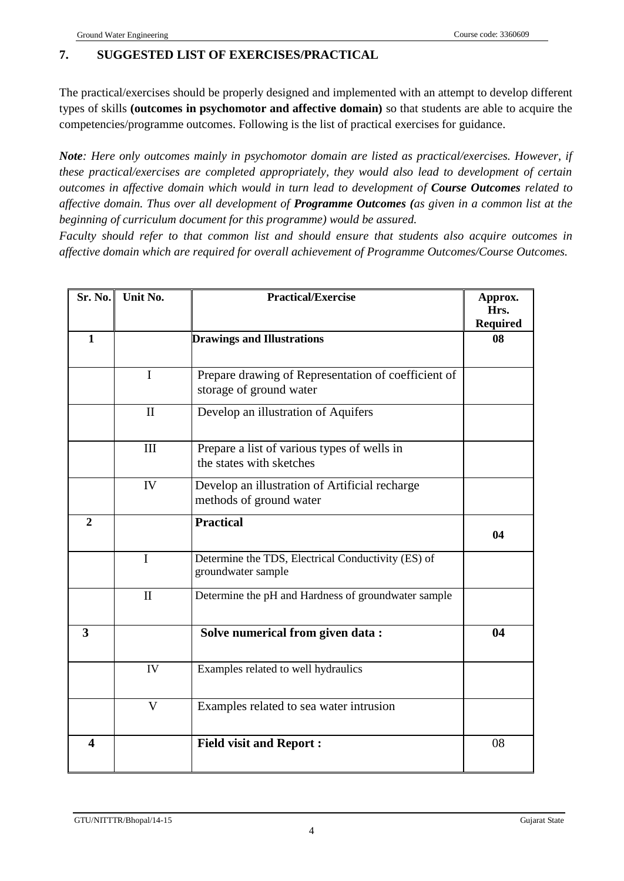## **7. SUGGESTED LIST OF EXERCISES/PRACTICAL**

The practical/exercises should be properly designed and implemented with an attempt to develop different types of skills **(outcomes in psychomotor and affective domain)** so that students are able to acquire the competencies/programme outcomes. Following is the list of practical exercises for guidance.

*Note: Here only outcomes mainly in psychomotor domain are listed as practical/exercises. However, if these practical/exercises are completed appropriately, they would also lead to development of certain outcomes in affective domain which would in turn lead to development of Course Outcomes related to affective domain. Thus over all development of Programme Outcomes (as given in a common list at the beginning of curriculum document for this programme) would be assured.* 

*Faculty should refer to that common list and should ensure that students also acquire outcomes in affective domain which are required for overall achievement of Programme Outcomes/Course Outcomes.*

| Sr. No.        | Unit No.                | <b>Practical/Exercise</b>                                                      | Approx.<br>Hrs.<br><b>Required</b> |
|----------------|-------------------------|--------------------------------------------------------------------------------|------------------------------------|
| $\mathbf{1}$   |                         | <b>Drawings and Illustrations</b>                                              | 08                                 |
|                | $\mathbf I$             | Prepare drawing of Representation of coefficient of<br>storage of ground water |                                    |
|                | $\mathbf{I}$            | Develop an illustration of Aquifers                                            |                                    |
|                | III                     | Prepare a list of various types of wells in<br>the states with sketches        |                                    |
|                | IV                      | Develop an illustration of Artificial recharge<br>methods of ground water      |                                    |
| $\overline{2}$ |                         | <b>Practical</b>                                                               | 04                                 |
|                | I                       | Determine the TDS, Electrical Conductivity (ES) of<br>groundwater sample       |                                    |
|                | $\mathbf{I}$            | Determine the pH and Hardness of groundwater sample                            |                                    |
| 3              |                         | Solve numerical from given data :                                              | 04                                 |
|                | IV                      | Examples related to well hydraulics                                            |                                    |
|                | $\overline{\mathsf{V}}$ | Examples related to sea water intrusion                                        |                                    |
| 4              |                         | <b>Field visit and Report:</b>                                                 | 08                                 |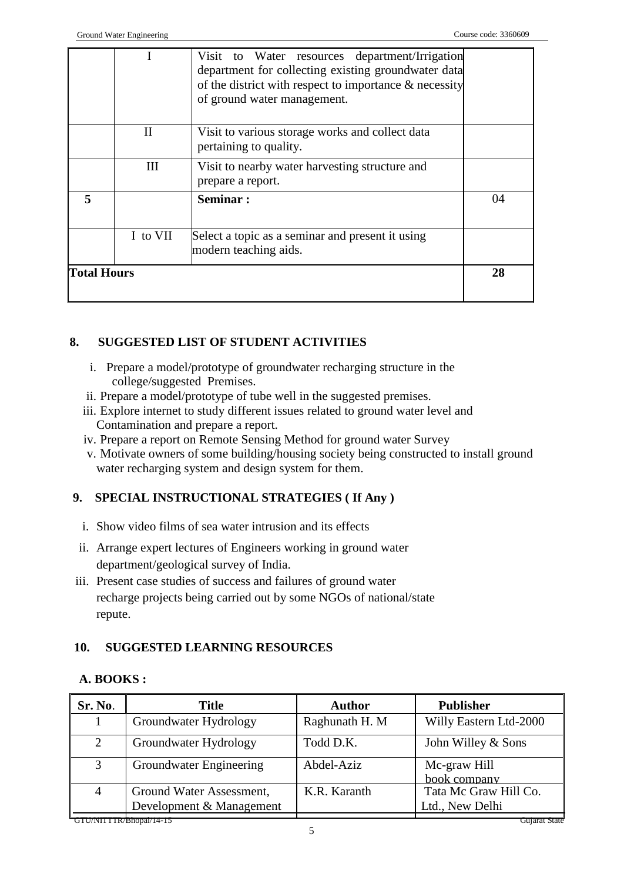|                    |          | Visit to Water resources department/Irrigation<br>department for collecting existing groundwater data<br>of the district with respect to importance $\&$ necessity<br>of ground water management. |    |
|--------------------|----------|---------------------------------------------------------------------------------------------------------------------------------------------------------------------------------------------------|----|
|                    | Н        | Visit to various storage works and collect data<br>pertaining to quality.                                                                                                                         |    |
|                    | Ш        | Visit to nearby water harvesting structure and<br>prepare a report.                                                                                                                               |    |
|                    |          | Seminar:                                                                                                                                                                                          | 04 |
|                    | I to VII | Select a topic as a seminar and present it using<br>modern teaching aids.                                                                                                                         |    |
| <b>Total Hours</b> |          |                                                                                                                                                                                                   | 28 |

## **8. SUGGESTED LIST OF STUDENT ACTIVITIES**

- i. Prepare a model/prototype of groundwater recharging structure in the college/suggested Premises.
- ii. Prepare a model/prototype of tube well in the suggested premises.
- iii. Explore internet to study different issues related to ground water level and Contamination and prepare a report.
- iv. Prepare a report on Remote Sensing Method for ground water Survey
- v. Motivate owners of some building/housing society being constructed to install ground water recharging system and design system for them.

## **9. SPECIAL INSTRUCTIONAL STRATEGIES ( If Any )**

- i. Show video films of sea water intrusion and its effects
- ii. Arrange expert lectures of Engineers working in ground water department/geological survey of India.
- iii. Present case studies of success and failures of ground water recharge projects being carried out by some NGOs of national/state repute.

## **10. SUGGESTED LEARNING RESOURCES**

## **A. BOOKS :**

| Sr. No.                                  | <b>Title</b>             | <b>Author</b>  | <b>Publisher</b>             |  |  |  |
|------------------------------------------|--------------------------|----------------|------------------------------|--|--|--|
|                                          | Groundwater Hydrology    | Raghunath H. M | Willy Eastern Ltd-2000       |  |  |  |
| 2                                        | Groundwater Hydrology    | Todd D.K.      | John Willey & Sons           |  |  |  |
| 3                                        | Groundwater Engineering  | Abdel-Aziz     | Mc-graw Hill<br>book company |  |  |  |
| $\overline{4}$                           | Ground Water Assessment, | K.R. Karanth   | Tata Mc Graw Hill Co.        |  |  |  |
|                                          | Development & Management |                | Ltd., New Delhi              |  |  |  |
| GTU/NITTTR/Bhopal/14-15<br>Gujarat State |                          |                |                              |  |  |  |